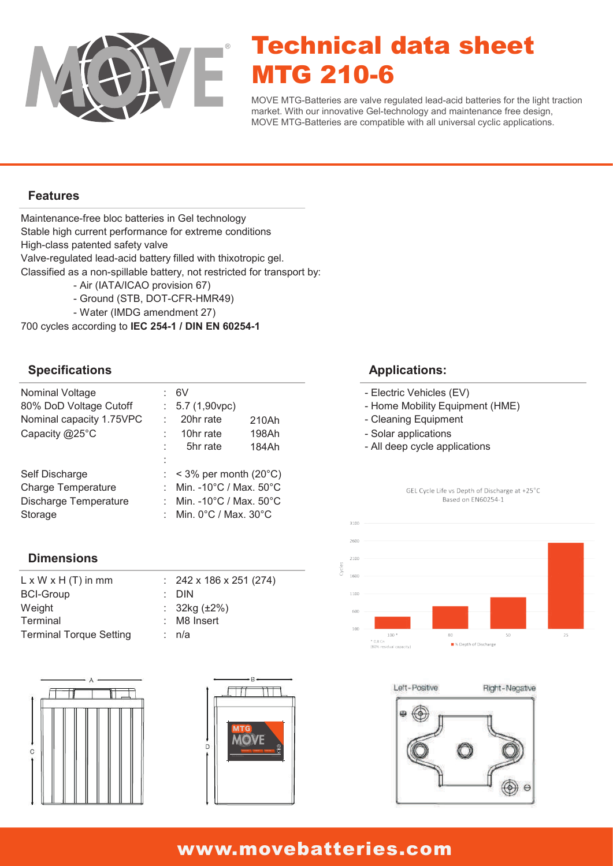

# Technical data sheet MTG 210-6

MOVE MTG-Batteries are valve regulated lead-acid batteries for the light traction market. With our innovative Gel-technology and maintenance free design, MOVE MTG-Batteries are compatible with all universal cyclic applications.

#### **Features**

Maintenance-free bloc batteries in Gel technology Classified as a non-spillable battery, not restricted for transport by: Valve-regulated lead-acid battery filled with thixotropic gel. High-class patented safety valve Stable high current performance for extreme conditions

- Air (IATA/ICAO provision 67)
- Ground (STB, DOT-CFR-HMR49)
- Water (IMDG amendment 27)

700 cycles according to **IEC 254-1 / DIN EN 60254-1**

#### **Specifications**

| Nominal Voltage<br>80% DoD Voltage Cutoff | 6V<br>$: 5.7(1,90$ vpc)                      |       |  |
|-------------------------------------------|----------------------------------------------|-------|--|
| Nominal capacity 1.75VPC                  | 20hr rate                                    | 210Ah |  |
| Capacity @25°C                            | 10hr rate                                    | 198Ah |  |
|                                           | 5hr rate                                     | 184Ah |  |
|                                           |                                              |       |  |
| Self Discharge                            | $:$ < 3% per month (20 $^{\circ}$ C)         |       |  |
| <b>Charge Temperature</b>                 | Min. - 10°C / Max. 50°C                      |       |  |
| <b>Discharge Temperature</b>              | Min. -10 $^{\circ}$ C / Max. 50 $^{\circ}$ C |       |  |
| Storage                                   | Min. $0^{\circ}$ C / Max. $30^{\circ}$ C     |       |  |

#### **Dimensions**

| $: 242 \times 186 \times 251 (274)$ |
|-------------------------------------|
| $\therefore$ DIN                    |
| : $32kg (\pm 2\%)$                  |
| : M8 Insert                         |
| : n/a                               |
|                                     |





#### **Applications:**

- Electric Vehicles (EV)
- Home Mobility Equipment (HME)
- Cleaning Equipment
- Solar applications
- All deep cycle applications





### www.movebatteries.com